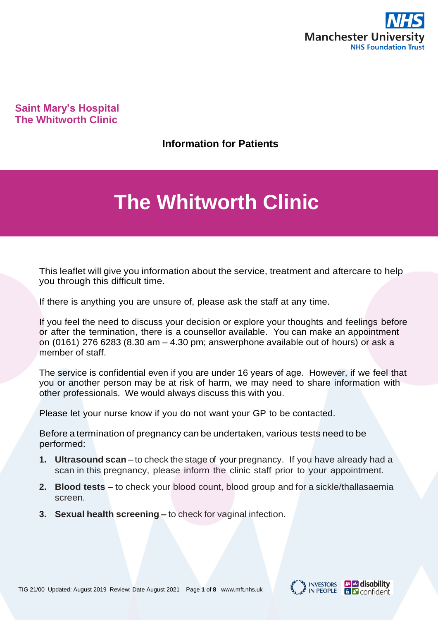

### **Saint Mary's Hospital The Whitworth Clinic**

**Information for Patients**

# **The Whitworth Clinic**

This leaflet will give you information about the service, treatment and aftercare to help you through this difficult time.

If there is anything you are unsure of, please ask the staff at any time.

If you feel the need to discuss your decision or explore your thoughts and feelings before or after the termination, there is a counsellor available. You can make an appointment on (0161) 276 6283 (8.30 am – 4.30 pm; answerphone available out of hours) or ask a member of staff.

The service is confidential even if you are under 16 years of age. However, if we feel that you or another person may be at risk of harm, we may need to share information with other professionals. We would always discuss this with you.

Please let your nurse know if you do not want your GP to be contacted.

Before a termination of pregnancy can be undertaken, various tests need to be performed:

- **1. Ultrasound scan** to check the stage of your pregnancy. If you have already had a scan in this pregnancy, please inform the clinic staff prior to your appointment.
- **2. Blood tests**  to check your blood count, blood group and for a sickle/thallasaemia screen.
- **3. Sexual health screening –** to check for vaginal infection.



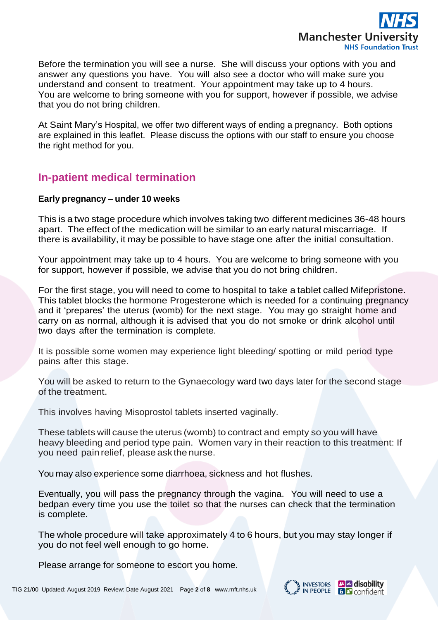

Before the termination you will see a nurse. She will discuss your options with you and answer any questions you have. You will also see a doctor who will make sure you understand and consent to treatment. Your appointment may take up to 4 hours. You are welcome to bring someone with you for support, however if possible, we advise that you do not bring children.

At Saint Mary's Hospital, we offer two different ways of ending a pregnancy. Both options are explained in this leaflet. Please discuss the options with our staff to ensure you choose the right method for you.

### **In-patient medical termination**

#### **Early pregnancy – under 10 weeks**

This is a two stage procedure which involves taking two different medicines 36-48 hours apart. The effect of the medication will be similar to an early natural miscarriage. If there is availability, it may be possible to have stage one after the initial consultation.

Your appointment may take up to 4 hours. You are welcome to bring someone with you for support, however if possible, we advise that you do not bring children.

For the first stage, you will need to come to hospital to take a tablet called Mifepristone. This tablet blocks the hormone Progesterone which is needed for a continuing pregnancy and it 'prepares' the uterus (womb) for the next stage. You may go straight home and carry on as normal, although it is advised that you do not smoke or drink alcohol until two days after the termination is complete.

It is possible some women may experience light bleeding/ spotting or mild period type pains after this stage.

You will be asked to return to the Gynaecology ward two days later for the second stage of the treatment.

This involves having Misoprostol tablets inserted vaginally.

These tablets will cause the uterus (womb) to contract and empty so you will have heavy bleeding and period type pain. Women vary in their reaction to this treatment: If you need pain relief, please ask the nurse.

You may also experience some diarrhoea, sickness and hot flushes.

Eventually, you will pass the pregnancy through the vagina. You will need to use a bedpan every time you use the toilet so that the nurses can check that the termination is complete.

The whole procedure will take approximately 4 to 6 hours, but you may stay longer if you do not feel well enough to go home.

Please arrange for someone to escort you home.

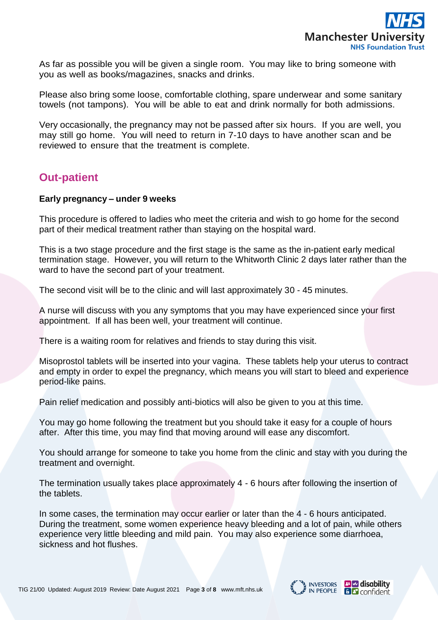

As far as possible you will be given a single room. You may like to bring someone with you as well as books/magazines, snacks and drinks.

Please also bring some loose, comfortable clothing, spare underwear and some sanitary towels (not tampons). You will be able to eat and drink normally for both admissions.

Very occasionally, the pregnancy may not be passed after six hours. If you are well, you may still go home. You will need to return in 7-10 days to have another scan and be reviewed to ensure that the treatment is complete.

# **Out-patient**

#### **Early pregnancy – under 9 weeks**

This procedure is offered to ladies who meet the criteria and wish to go home for the second part of their medical treatment rather than staying on the hospital ward.

This is a two stage procedure and the first stage is the same as the in-patient early medical termination stage. However, you will return to the Whitworth Clinic 2 days later rather than the ward to have the second part of your treatment.

The second visit will be to the clinic and will last approximately 30 - 45 minutes.

A nurse will discuss with you any symptoms that you may have experienced since your first appointment. If all has been well, your treatment will continue.

There is a waiting room for relatives and friends to stay during this visit.

Misoprostol tablets will be inserted into your vagina. These tablets help your uterus to contract and empty in order to expel the pregnancy, which means you will start to bleed and experience period-like pains.

Pain relief medication and possibly anti-biotics will also be given to you at this time.

You may go home following the treatment but you should take it easy for a couple of hours after. After this time, you may find that moving around will ease any discomfort.

You should arrange for someone to take you home from the clinic and stay with you during the treatment and overnight.

The termination usually takes place approximately 4 - 6 hours after following the insertion of the tablets.

In some cases, the termination may occur earlier or later than the 4 - 6 hours anticipated. During the treatment, some women experience heavy bleeding and a lot of pain, while others experience very little bleeding and mild pain. You may also experience some diarrhoea, sickness and hot flushes.

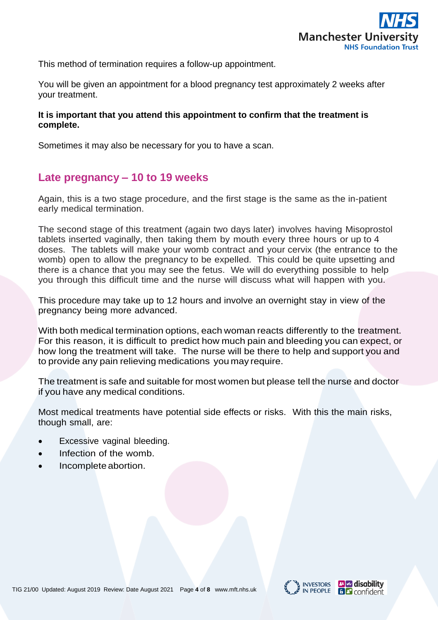

This method of termination requires a follow-up appointment.

You will be given an appointment for a blood pregnancy test approximately 2 weeks after your treatment.

#### **It is important that you attend this appointment to confirm that the treatment is complete.**

Sometimes it may also be necessary for you to have a scan.

### **Late pregnancy – 10 to 19 weeks**

Again, this is a two stage procedure, and the first stage is the same as the in-patient early medical termination.

The second stage of this treatment (again two days later) involves having Misoprostol tablets inserted vaginally, then taking them by mouth every three hours or up to 4 doses. The tablets will make your womb contract and your cervix (the entrance to the womb) open to allow the pregnancy to be expelled. This could be quite upsetting and there is a chance that you may see the fetus. We will do everything possible to help you through this difficult time and the nurse will discuss what will happen with you.

This procedure may take up to 12 hours and involve an overnight stay in view of the pregnancy being more advanced.

With both medical termination options, each woman reacts differently to the treatment. For this reason, it is difficult to predict how much pain and bleeding you can expect, or how long the treatment will take. The nurse will be there to help and support you and to provide any pain relieving medications you may require.

The treatment is safe and suitable for most women but please tell the nurse and doctor if you have any medical conditions.

Most medical treatments have potential side effects or risks. With this the main risks, though small, are:

- Excessive vaginal bleeding.
- Infection of the womb.
- Incomplete abortion.





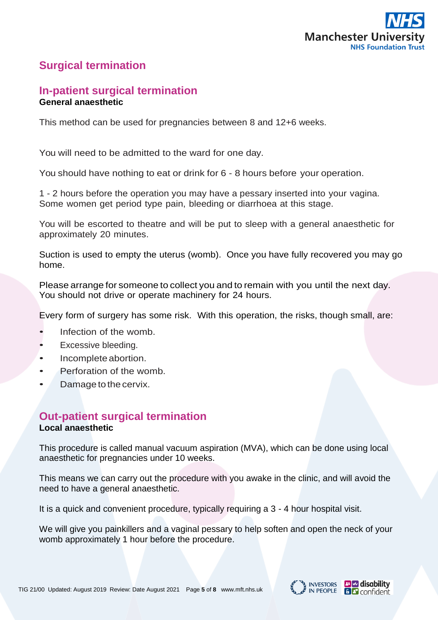

# **Surgical termination**

### **In-patient surgical termination General anaesthetic**

This method can be used for pregnancies between 8 and 12+6 weeks.

You will need to be admitted to the ward for one day.

You should have nothing to eat or drink for 6 - 8 hours before your operation.

1 - 2 hours before the operation you may have a pessary inserted into your vagina. Some women get period type pain, bleeding or diarrhoea at this stage.

You will be escorted to theatre and will be put to sleep with a general anaesthetic for approximately 20 minutes.

Suction is used to empty the uterus (womb). Once you have fully recovered you may go home.

Please arrange for someone to collect you and to remain with you until the next day. You should not drive or operate machinery for 24 hours.

Every form of surgery has some risk. With this operation, the risks, though small, are:

- Infection of the womb.
- Excessive bleeding.
- Incomplete abortion.
- Perforation of the womb.
- Damage to the cervix.

# **Out-patient surgical termination**

#### **Local anaesthetic**

This procedure is called manual vacuum aspiration (MVA), which can be done using local anaesthetic for pregnancies under 10 weeks.

This means we can carry out the procedure with you awake in the clinic, and will avoid the need to have a general anaesthetic.

It is a quick and convenient procedure, typically requiring a 3 - 4 hour hospital visit.

We will give you painkillers and a vaginal pessary to help soften and open the neck of your womb approximately 1 hour before the procedure.



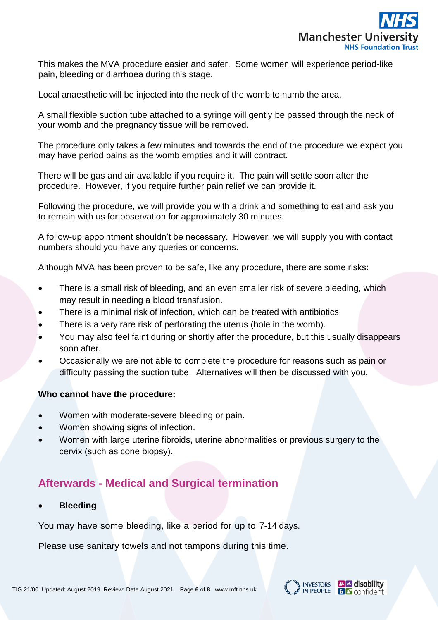

This makes the MVA procedure easier and safer. Some women will experience period-like pain, bleeding or diarrhoea during this stage.

Local anaesthetic will be injected into the neck of the womb to numb the area.

A small flexible suction tube attached to a syringe will gently be passed through the neck of your womb and the pregnancy tissue will be removed.

The procedure only takes a few minutes and towards the end of the procedure we expect you may have period pains as the womb empties and it will contract.

There will be gas and air available if you require it. The pain will settle soon after the procedure. However, if you require further pain relief we can provide it.

Following the procedure, we will provide you with a drink and something to eat and ask you to remain with us for observation for approximately 30 minutes.

A follow-up appointment shouldn't be necessary. However, we will supply you with contact numbers should you have any queries or concerns.

Although MVA has been proven to be safe, like any procedure, there are some risks:

- There is a small risk of bleeding, and an even smaller risk of severe bleeding, which may result in needing a blood transfusion.
- There is a minimal risk of infection, which can be treated with antibiotics.
- There is a very rare risk of perforating the uterus (hole in the womb).
- You may also feel faint during or shortly after the procedure, but this usually disappears soon after.
- Occasionally we are not able to complete the procedure for reasons such as pain or difficulty passing the suction tube. Alternatives will then be discussed with you.

#### **Who cannot have the procedure:**

- Women with moderate-severe bleeding or pain.
- Women showing signs of infection.
- Women with large uterine fibroids, uterine abnormalities or previous surgery to the cervix (such as cone biopsy).

# **Afterwards - Medical and Surgical termination**

• **Bleeding**

You may have some bleeding, like a period for up to 7-14 days.

Please use sanitary towels and not tampons during this time.

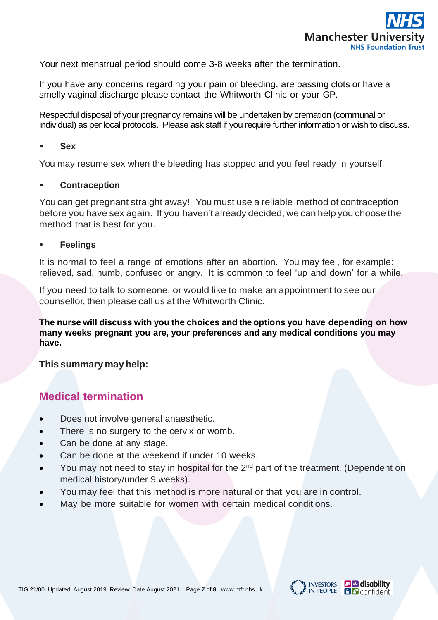

Your next menstrual period should come 3-8 weeks after the termination.

If you have any concerns regarding your pain or bleeding, are passing clots or have a smelly vaginal discharge please contact the Whitworth Clinic or your GP.

Respectful disposal of your pregnancy remains will be undertaken by cremation (communal or individual) as per local protocols. Please ask staff if you require further information or wish to discuss.

#### • **Sex**

You may resume sex when the bleeding has stopped and you feel ready in yourself.

#### • **Contraception**

You can get pregnant straight away! You must use a reliable method of contraception before you have sex again. If you haven't already decided, we can help you choose the method that is best for you.

#### • **Feelings**

It is normal to feel a range of emotions after an abortion. You may feel, for example: relieved, sad, numb, confused or angry. It is common to feel 'up and down' for a while.

If you need to talk to someone, or would like to make an appointment to see our counsellor, then please call us at the Whitworth Clinic.

**The nurse will discuss with you the choices and the options you have depending on how many weeks pregnant you are, your preferences and any medical conditions you may have.**

#### **This summary may help:**

### **Medical termination**

- Does not involve general anaesthetic.
- There is no surgery to the cervix or womb.
- Can be done at any stage.
- Can be done at the weekend if under 10 weeks.
- You may not need to stay in hospital for the  $2<sup>nd</sup>$  part of the treatment. (Dependent on medical history/under 9 weeks).
- You may feel that this method is more natural or that you are in control.
- May be more suitable for women with certain medical conditions.